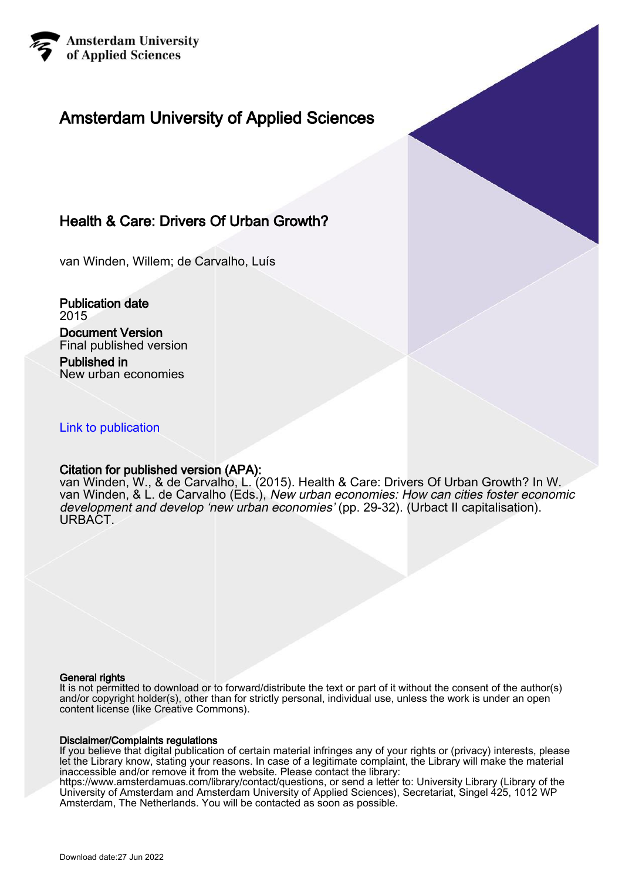

# Amsterdam University of Applied Sciences

# Health & Care: Drivers Of Urban Growth?

van Winden, Willem; de Carvalho, Luís

Publication date 2015

#### Document Version Final published version

Published in New urban economies

## [Link to publication](https://research.hva.nl/en/publications/5f1cddf1-0c65-45f5-a4de-795de5251221)

## Citation for published version (APA):

van Winden, W., & de Carvalho, L. (2015). Health & Care: Drivers Of Urban Growth? In W. van Winden, & L. de Carvalho (Eds.), *New urban economies: How can cities foster economic* development and develop 'new urban economies' (pp. 29-32). (Urbact II capitalisation). URBACT.

#### General rights

It is not permitted to download or to forward/distribute the text or part of it without the consent of the author(s) and/or copyright holder(s), other than for strictly personal, individual use, unless the work is under an open content license (like Creative Commons).

#### Disclaimer/Complaints regulations

If you believe that digital publication of certain material infringes any of your rights or (privacy) interests, please let the Library know, stating your reasons. In case of a legitimate complaint, the Library will make the material inaccessible and/or remove it from the website. Please contact the library:

https://www.amsterdamuas.com/library/contact/questions, or send a letter to: University Library (Library of the University of Amsterdam and Amsterdam University of Applied Sciences), Secretariat, Singel 425, 1012 WP Amsterdam, The Netherlands. You will be contacted as soon as possible.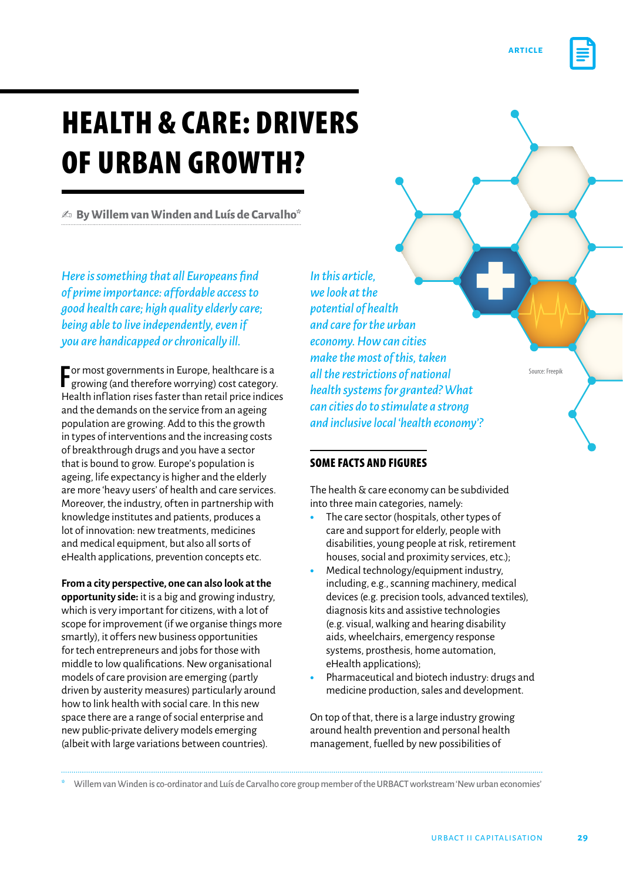Source: Freepik



# Health & care: drivers of urban growth?

✍ **By Willem van Winden and Luís de Carvalho\***

*Hereissomething that all Europeans find of primeimportance: affordable accessto good health care; high quality elderly care; being able to live independently, even if you are handicapped or chronically ill.*

**F** or most governments in Europe, healthcare is a growing (and therefore worrying) cost category growing (and therefore worrying) cost category. Health inflation rises faster than retail price indices and the demands on the service from an ageing population are growing. Add to this the growth in types of interventions and the increasing costs of breakthrough drugs and you have a sector that is bound to grow. Europe's population is ageing, life expectancy is higher and the elderly are more 'heavy users' of health and care services. Moreover, the industry, of ten in partnership with knowledge institutes and patients, produces a lot of innovation: new treatments, medicines and medical equipment, but also all sorts of eHealth applications, prevention concepts etc.

**From a city perspective, one can also look at the opportunity side:** it is a big and growing industry, which is very important for citizens, with a lot of scope for improvement (if we organise things more smartly), it offers new business opportunities for tech entrepreneurs and jobs for those with middle to low qualifications. New organisational models of care provision are emerging (partly driven by austerity measures) particularly around how to link health with social care. In this new space there are a range of social enterprise and new public-private delivery models emerging (albeit with large variations between countries).

*In this article, we look at the potential of health and care for the urban economy. How can cities make the most of this, taken all the restrictions of national health systems for granted? What can cities do to stimulate a strong and inclusive local 'health economy'?*

## Some facts and figures

The health & care economy can be subdivided into three main categories, namely:

- **•** The care sector (hospitals, other types of care and support for elderly, people with disabilities, young people at risk, retirement houses, social and proximity services, etc.);
- **•** Medical technology/equipment industry, including, e.g., scanning machinery, medical devices (e.g. precision tools, advanced textiles), diagnosis kits and assistive technologies (e.g. visual, walking and hearing disability aids, wheelchairs, emergency response systems, prosthesis, home automation, eHealth applications);
- **•** Pharmaceutical and biotech industry: drugs and medicine production, sales and development.

On top of that, there is a large industry growing around health prevention and personal health management, fuelled by new possibilities of

\* Willem van Winden is co-ordinator and Luís de Carvalho core group member of the URBACT workstream 'New urban economies'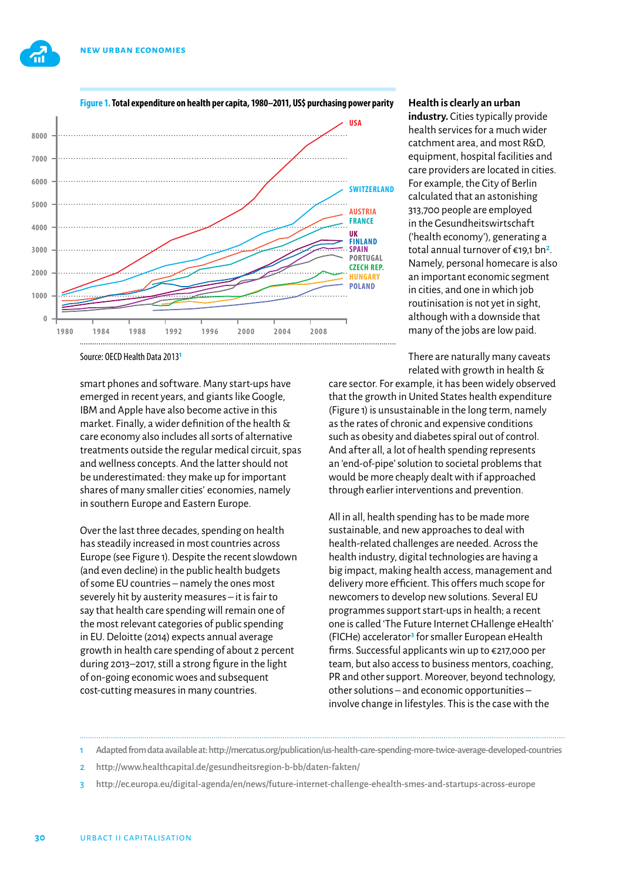

**Figure 1. Total expenditure on health per capita, 1980–2011, US\$ purchasing power parity**

Source: OECD Health Data 20131

smart phones and software. Many start-ups have emerged in recent years, and giants like Google, IBM and Apple have also become active in this market. Finally, a wider definition of the health & care economy also includes all sorts of alternative treatments outside the regular medical circuit, spas and wellness concepts. And the latter should not be underestimated: they make up for important shares of many smaller cities' economies, namely in southern Europe and Eastern Europe.

Over the last three decades, spending on health has steadily increased in most countries across Europe (see Figure 1). Despite the recent slowdown (and even decline) in the public health budgets of some EU countries – namely the ones most severely hit by austerity measures – it is fair to say that health care spending will remain one of the most relevant categories of public spending in EU. Deloitte (2014) expects annual average growth in health care spending of about 2 percent during 2013–2017, still a strong figure in the light of on-going economic woes and subsequent cost-cutting measures in many countries.

**Health is clearly an urban** 

**industry.** Cities typically provide health services for a much wider catchment area, and most R&D, equipment, hospital facilities and care providers are located in cities. For example, the City of Berlin calculated that an astonishing 313,700 people are employed in the Gesundheitswirtschaft ('health economy'), generating a total annual turnover of  $\epsilon$ 19,1 bn<sup>2</sup>. Namely, personal homecare is also an important economic segment in cities, and one in which job routinisation is not yet in sight, although with a downside that many of the jobs are low paid.

There are naturally many caveats related with growth in health &

care sector. For example, it has been widely observed that the growth in United States health expenditure (Figure 1) is unsustainable in the long term, namely as the rates of chronic and expensive conditions such as obesity and diabetes spiral out of control. And after all, a lot of health spending represents an 'end-of-pipe' solution to societal problems that would be more cheaply dealt with if approached through earlier interventions and prevention.

All in all, health spending has to be made more sustainable, and new approaches to deal with health-related challenges are needed. Across the health industry, digital technologies are having a big impact, making health access, management and delivery more ef ficient. This of fers much scope for newcomers to develop new solutions. Several EU programmes support start-ups in health; a recent one is called 'The Future Internet CHallenge eHealth' (FICHe) accelerator3 for smaller European eHealth firms. Successful applicants win up to €217,000 per team, but also access to business mentors, coaching, PR and other support. Moreover, beyond technology, other solutions – and economic opportunities – involve change in lifestyles. This is the case with the

- 2 <http://www.healthcapital.de/gesundheitsregion-b-bb/daten-fakten/>
- 3 <http://ec.europa.eu/digital-agenda/en/news/future-internet-challenge-ehealth-smes-and-startups-across-europe>

<sup>1</sup> Adapted from data available at:<http://mercatus.org/publication/us-health-care-spending-more-twice-average-developed-countries>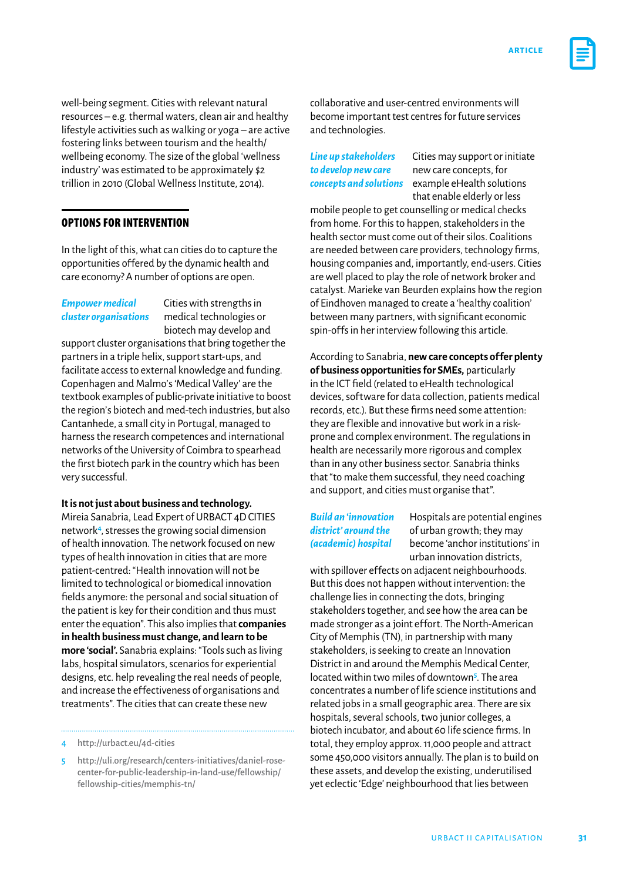well-being segment. Cities with relevant natural resources – e.g. thermal waters, clean air and healthy lifestyle activities such as walking or yoga – are active fostering links between tourism and the health/ wellbeing economy. The size of the global 'wellness industry' was estimated to be approximately \$2 trillion in 2010 (Global Wellness Institute, 2014).

#### Options for intervention

In the light of this, what can cities do to capture the opportunities of fered by the dynamic health and care economy? A number of options are open.

#### *Empower medical cluster organisations*

Cities with strengths in medical technologies or biotech may develop and

support cluster organisations that bring together the partners in a triple helix, support start-ups, and facilitate access to external knowledge and funding. Copenhagen and Malmo's 'Medical Valley' are the textbook examples of public-private initiative to boost the region's biotech and med-tech industries, but also Cantanhede, a small city in Portugal, managed to harness the research competences and international networks of the University of Coimbra to spearhead the first biotech park in the country which has been very successful.

#### **Itis notjust about business and technology.**

Mireia Sanabria, Lead Expert of URBACT 4D CITIES network4, stresses the growing social dimension of health innovation. The network focused on new types of health innovation in cities that are more patient-centred: "Health innovation will not be limited to technological or biomedical innovation fields anymore: the personal and social situation of the patient is key for their condition and thus must enter the equation". This also implies that **companies in health business must change, and learn to be more 'social'.** Sanabria explains: "Tools such as living labs, hospital simulators, scenarios for experiential designs, etc. help revealing the real needs of people, and increase the effectiveness of organisations and treatments". The cities that can create these new

4 <http://urbact.eu/4d-cities>

collaborative and user-centred environments will become important test centres for future services and technologies.

*Line up stakeholders to develop new care concepts and solutions*

Cities may support or initiate new care concepts, for example eHealth solutions that enable elderly or less

mobile people to get counselling or medical checks from home. For this to happen, stakeholders in the health sector must come out of their silos. Coalitions are needed between care providers, technology firms, housing companies and, importantly, end-users. Cities are well placed to play the role of network broker and catalyst. Marieke van Beurden explains how the region of Eindhoven managed to create a 'healthy coalition' between many partners, with significant economic spin-offs in her interview following this article.

According to Sanabria, **newcare concepts of fer plenty of business opportunities for SMEs,** particularly in the ICT field (related to eHealth technological devices, sof tware for data collection, patients medical records, etc.). But these firms need some attention: they are flexible and innovative but work in a riskprone and complex environment. The regulations in health are necessarily more rigorous and complex than in any other business sector. Sanabria thinks that "to make them successful, they need coaching and support, and cities must organise that".

# *Build an 'innovation district' around the (academic) hospital*

Hospitals are potential engines of urban growth; they may become 'anchor institutions' in urban innovation districts,

with spillover effects on adjacent neighbourhoods. But this does not happen without intervention: the challenge lies in connecting the dots, bringing stakeholders together, and see how the area can be made stronger as a joint effort. The North-American City of Memphis (TN), in partnership with many stakeholders, is seeking to create an Innovation District in and around the Memphis Medical Center, located within two miles of downtown<sup>5</sup>. The area concentrates a number of life science institutions and related jobs in a small geographic area. There are six hospitals, several schools, two junior colleges, a biotech incubator, and about 60 life science firms. In total, they employ approx. 11,000 people and attract some 450,000 visitors annually. The plan is to build on these assets, and develop the existing, underutilised yet eclectic 'Edge' neighbourhood that lies between

<sup>5</sup> [http://uli.org/research/centers-initiatives/daniel-rose](http://uli.org/research/centers-initiatives/daniel-rose-center-for-public-leadership-in-land-use/fellowship/fellowship-cities/memphis-tn/)[center-for-public-leadership-in-land-use/fellowship/](http://uli.org/research/centers-initiatives/daniel-rose-center-for-public-leadership-in-land-use/fellowship/fellowship-cities/memphis-tn/) [fellowship-cities/memphis-tn/](http://uli.org/research/centers-initiatives/daniel-rose-center-for-public-leadership-in-land-use/fellowship/fellowship-cities/memphis-tn/)